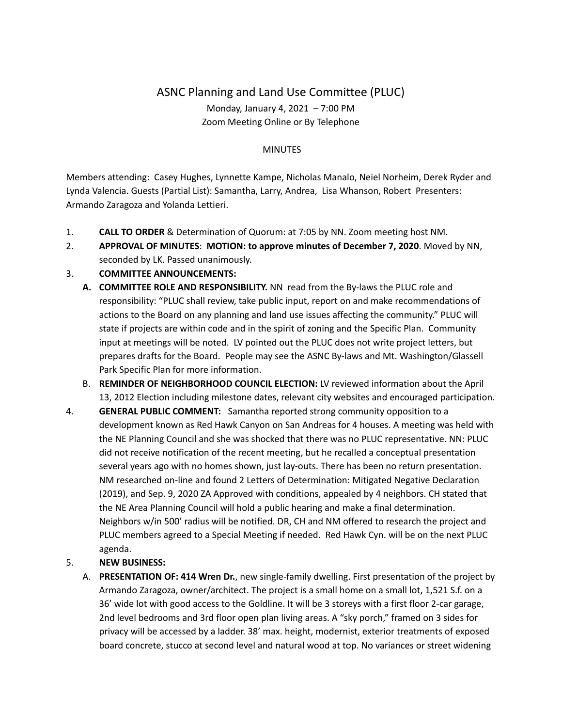# ASNC Planning and Land Use Committee (PLUC) Monday, January 4, 2021 – 7:00 PM Zoom Meeting Online or By Telephone

## **MINUTES**

Members attending: Casey Hughes, Lynnette Kampe, Nicholas Manalo, Neiel Norheim, Derek Ryder and Lynda Valencia. Guests (Partial List): Samantha, Larry, Andrea, Lisa Whanson, Robert Presenters: Armando Zaragoza and Yolanda Lettieri.

- 1. **CALL TO ORDER** & Determination of Quorum: at 7:05 by NN. Zoom meeting host NM.
- 2. **APPROVAL OF MINUTES**: **MOTION: to approve minutes of December 7, 2020**. Moved by NN, seconded by LK. Passed unanimously.

## 3. **COMMITTEE ANNOUNCEMENTS:**

- **A. COMMITTEE ROLE AND RESPONSIBILITY.** NN read from the By-laws the PLUC role and responsibility: "PLUC shall review, take public input, report on and make recommendations of actions to the Board on any planning and land use issues affecting the community." PLUC will state if projects are within code and in the spirit of zoning and the Specific Plan. Community input at meetings will be noted. LV pointed out the PLUC does not write project letters, but prepares drafts for the Board. People may see the ASNC By-laws and Mt. Washington/Glassell Park Specific Plan for more information.
- B. **REMINDER OF NEIGHBORHOOD COUNCIL ELECTION:** LV reviewed information about the April 13, 2012 Election including milestone dates, relevant city websites and encouraged participation.
- 4. **GENERAL PUBLIC COMMENT:** Samantha reported strong community opposition to a development known as Red Hawk Canyon on San Andreas for 4 houses. A meeting was held with the NE Planning Council and she was shocked that there was no PLUC representative. NN: PLUC did not receive notification of the recent meeting, but he recalled a conceptual presentation several years ago with no homes shown, just lay-outs. There has been no return presentation. NM researched on-line and found 2 Letters of Determination: Mitigated Negative Declaration (2019), and Sep. 9, 2020 ZA Approved with conditions, appealed by 4 neighbors. CH stated that the NE Area Planning Council will hold a public hearing and make a final determination. Neighbors w/in 500' radius will be notified. DR, CH and NM offered to research the project and PLUC members agreed to a Special Meeting if needed. Red Hawk Cyn. will be on the next PLUC agenda.

# 5. **NEW BUSINESS:**

A. **PRESENTATION OF: 414 Wren Dr.**, new single-family dwelling. First presentation of the project by Armando Zaragoza, owner/architect. The project is a small home on a small lot, 1,521 S.f. on a 36' wide lot with good access to the Goldline. It will be 3 storeys with a first floor 2-car garage, 2nd level bedrooms and 3rd floor open plan living areas. A "sky porch," framed on 3 sides for privacy will be accessed by a ladder. 38' max. height, modernist, exterior treatments of exposed board concrete, stucco at second level and natural wood at top. No variances or street widening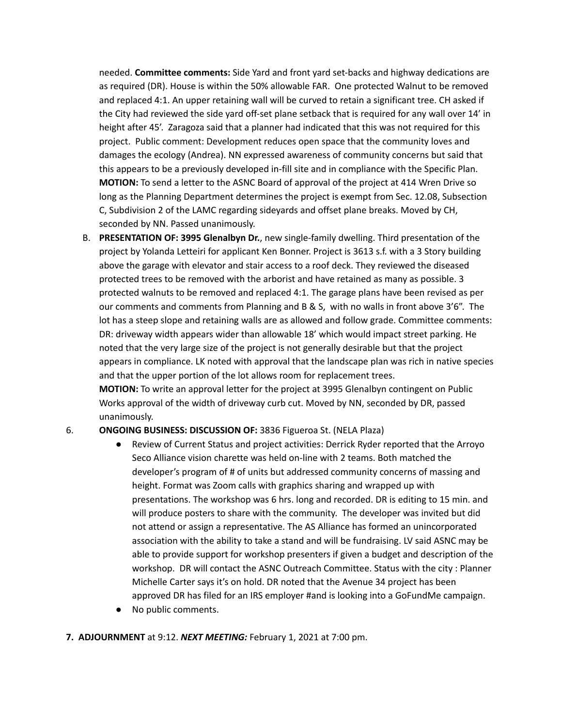needed. **Committee comments:** Side Yard and front yard set-backs and highway dedications are as required (DR). House is within the 50% allowable FAR. One protected Walnut to be removed and replaced 4:1. An upper retaining wall will be curved to retain a significant tree. CH asked if the City had reviewed the side yard off-set plane setback that is required for any wall over 14' in height after 45'. Zaragoza said that a planner had indicated that this was not required for this project. Public comment: Development reduces open space that the community loves and damages the ecology (Andrea). NN expressed awareness of community concerns but said that this appears to be a previously developed in-fill site and in compliance with the Specific Plan. **MOTION:** To send a letter to the ASNC Board of approval of the project at 414 Wren Drive so long as the Planning Department determines the project is exempt from Sec. 12.08, Subsection C, Subdivision 2 of the LAMC regarding sideyards and offset plane breaks. Moved by CH, seconded by NN. Passed unanimously.

B. **PRESENTATION OF: 3995 Glenalbyn Dr.**, new single-family dwelling. Third presentation of the project by Yolanda Letteiri for applicant Ken Bonner. Project is 3613 s.f. with a 3 Story building above the garage with elevator and stair access to a roof deck. They reviewed the diseased protected trees to be removed with the arborist and have retained as many as possible. 3 protected walnuts to be removed and replaced 4:1. The garage plans have been revised as per our comments and comments from Planning and B & S, with no walls in front above 3'6". The lot has a steep slope and retaining walls are as allowed and follow grade. Committee comments: DR: driveway width appears wider than allowable 18' which would impact street parking. He noted that the very large size of the project is not generally desirable but that the project appears in compliance. LK noted with approval that the landscape plan was rich in native species and that the upper portion of the lot allows room for replacement trees.

**MOTION:** To write an approval letter for the project at 3995 Glenalbyn contingent on Public Works approval of the width of driveway curb cut. Moved by NN, seconded by DR, passed unanimously.

### 6. **ONGOING BUSINESS: DISCUSSION OF:** 3836 Figueroa St. (NELA Plaza)

- Review of Current Status and project activities: Derrick Ryder reported that the Arroyo Seco Alliance vision charette was held on-line with 2 teams. Both matched the developer's program of # of units but addressed community concerns of massing and height. Format was Zoom calls with graphics sharing and wrapped up with presentations. The workshop was 6 hrs. long and recorded. DR is editing to 15 min. and will produce posters to share with the community. The developer was invited but did not attend or assign a representative. The AS Alliance has formed an unincorporated association with the ability to take a stand and will be fundraising. LV said ASNC may be able to provide support for workshop presenters if given a budget and description of the workshop. DR will contact the ASNC Outreach Committee. Status with the city : Planner Michelle Carter says it's on hold. DR noted that the Avenue 34 project has been approved DR has filed for an IRS employer #and is looking into a GoFundMe campaign.
- No public comments.

### **7. ADJOURNMENT** at 9:12. *NEXT MEETING:* February 1, 2021 at 7:00 pm.